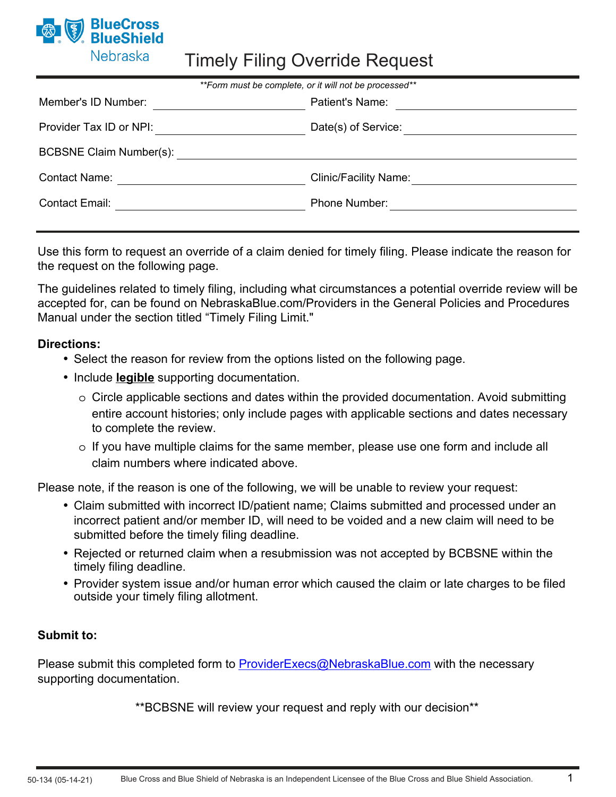

# Timely Filing Override Request

| **Form must be complete, or it will not be processed** |                              |
|--------------------------------------------------------|------------------------------|
| Member's ID Number:                                    | <b>Patient's Name:</b>       |
| Provider Tax ID or NPI:                                | Date(s) of Service:          |
| BCBSNE Claim Number(s):                                |                              |
| <b>Contact Name:</b>                                   | <b>Clinic/Facility Name:</b> |
| <b>Contact Email:</b>                                  | Phone Number:                |

Use this form to request an override of a claim denied for timely filing. Please indicate the reason for the request on the following page.

The guidelines related to timely filing, including what circumstances a potential override review will be accepted for, can be found on NebraskaBlue.com/Providers in the General Policies and Procedures Manual under the section titled "Timely Filing Limit."

### **Directions:**

- Select the reason for review from the options listed on the following page.
- Include **legible** supporting documentation.
	- o Circle applicable sections and dates within the provided documentation. Avoid submitting entire account histories; only include pages with applicable sections and dates necessary to complete the review.
	- o If you have multiple claims for the same member, please use one form and include all claim numbers where indicated above.

Please note, if the reason is one of the following, we will be unable to review your request:

- Claim submitted with incorrect ID/patient name; Claims submitted and processed under an incorrect patient and/or member ID, will need to be voided and a new claim will need to be submitted before the timely filing deadline.
- Rejected or returned claim when a resubmission was not accepted by BCBSNE within the timely filing deadline.
- Provider system issue and/or human error which caused the claim or late charges to be filed outside your timely filing allotment.

### **Submit to:**

Please submit this completed form to [ProviderExecs@NebraskaBlue.com](mailto:ProviderExecs@NebraskaBlue.com?subject=Timely%20Filing%20Override%20Request) with the necessary supporting documentation.

\*\*BCBSNE will review your request and reply with our decision\*\*